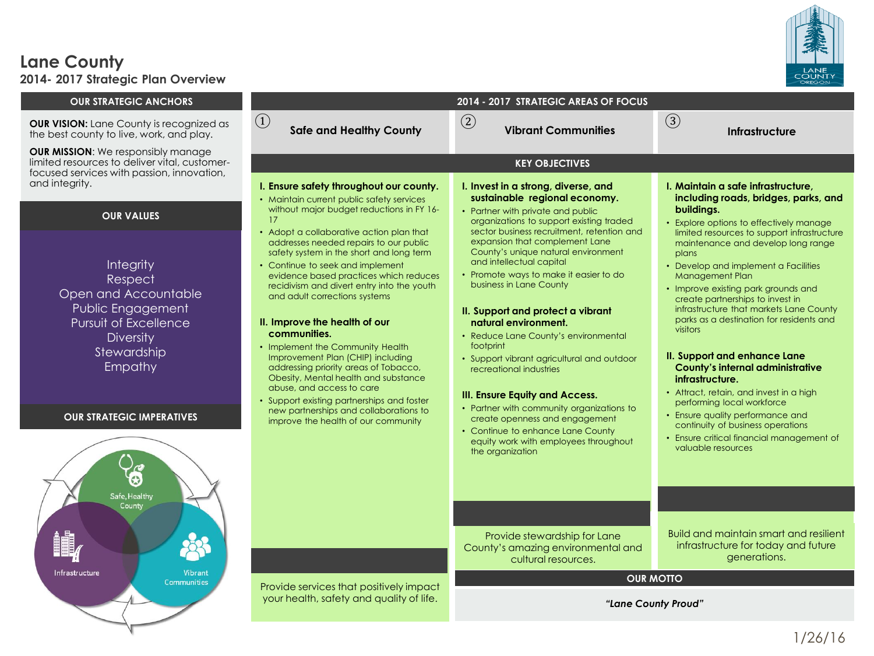

#### **Lane County 2014- 2017 Strategic Plan Overview**

#### **OUR STRATEGIC ANCHORS 2014 - 2017 STRATEGIC AREAS OF FOCUS**  $\Omega$  **Vibrant Communities Infrastructure** ② ③ **OUR VISION:** Lane County is recognized as **CLACK Sounty County**<br>the best county to live work, and play **Safe and Healthy County** the best county to live, work, and play. **OUR MISSION**: We responsibly manage limited resources to deliver vital, customer-**KEY OBJECTIVES** focused services with passion, innovation, and integrity. **I. Ensure safety throughout our county. I. Invest in a strong, diverse, and I. Maintain a safe infrastructure, sustainable regional economy. including roads, bridges, parks, and**  • Maintain current public safety services without major budget reductions in FY 16 **buildings.** • Partner with private and public **OUR VALUES** 17 organizations to support existing traded • Explore options to effectively manage • Adopt a collaborative action plan that sector business recruitment, retention and limited resources to support infrastructure expansion that complement Lane addresses needed repairs to our public maintenance and develop long range safety system in the short and long term County's unique natural environment plans and intellectual capital **Integrity** • Continue to seek and implement • Develop and implement a Facilities evidence based practices which reduces • Promote ways to make it easier to do Management Plan Respect business in Lane County recidivism and divert entry into the youth • Improve existing park grounds and Open and Accountable and adult corrections systems create partnerships to invest in Public Engagement infrastructure that markets Lane County **II. Support and protect a vibrant**  parks as a destination for residents and **II. Improve the health of our**  Pursuit of Excellence **natural environment.** visitors **communities. Diversity** • Reduce Lane County's environmental • Implement the Community Health footprint Stewardship **II. Support and enhance Lane**  Improvement Plan (CHIP) including • Support vibrant agricultural and outdoor Empathy addressing priority areas of Tobacco, recreational industries **County's internal administrative**  Obesity, Mental health and substance **infrastructure.** abuse, and access to care • Attract, retain, and invest in a high **III. Ensure Equity and Access.** • Support existing partnerships and foster performing local workforce • Partner with community organizations to new partnerships and collaborations to • Ensure quality performance and **OUR STRATEGIC IMPERATIVES** create openness and engagement improve the health of our community continuity of business operations • Continue to enhance Lane County • Ensure critical financial management of equity work with employees throughout valuable resources the organization Safe, Healthy County Build and maintain smart and resilient Provide stewardship for Lane infrastructure for today and future County's amazing environmental and generations. cultural resources. Infrastructure Vibrant **OUR MOTTO** Communities Provide services that positively impact your health, safety and quality of life. *"Lane County Proud"*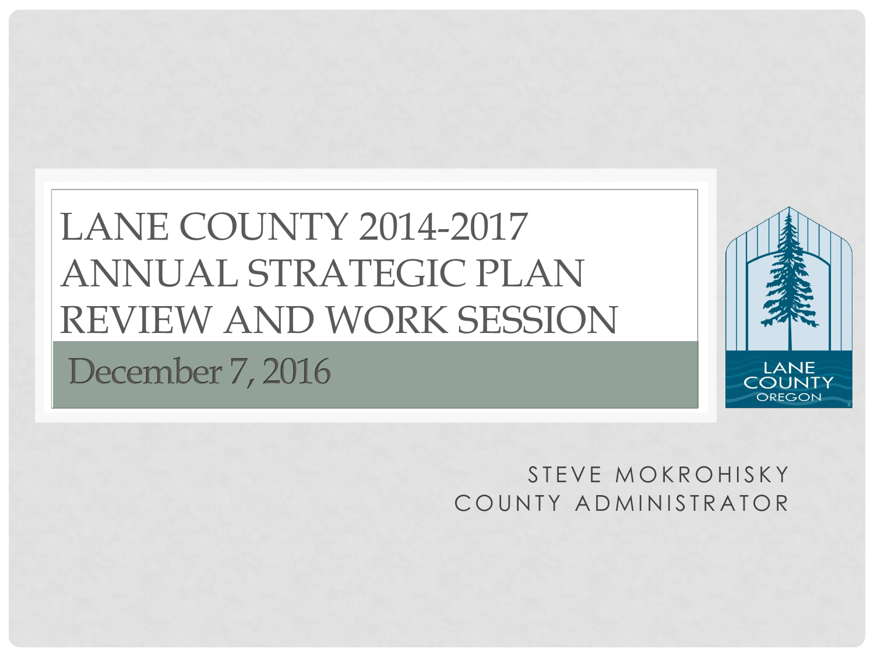## LANE COUNTY 2014-2017 ANNUAL STRATEGIC PLAN REVIEW AND WORK SESSIONDecember 7, 2016



#### STEVE MOKROHISKY COUNTY ADMINISTRATOR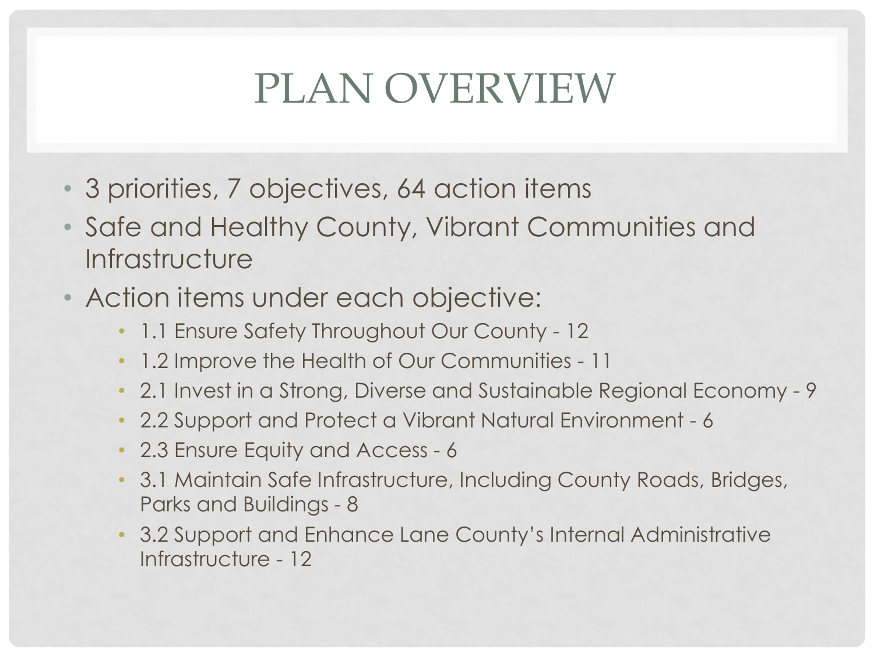# PLAN OVERVIEW

- 3 priorities, 7 objectives, 64 action items
- Safe and Healthy County, Vibrant Communities and **Infrastructure**
- Action items under each objective:
	- 1.1 Ensure Safety Throughout Our County 12
	- 1.2 Improve the Health of Our Communities 11
	- 2.1 Invest in a Strong, Diverse and Sustainable Regional Economy 9
	- 2.2 Support and Protect a Vibrant Natural Environment 6
	- 2.3 Ensure Equity and Access 6
	- 3.1 Maintain Safe Infrastructure, Including County Roads, Bridges, Parks and Buildings - 8
	- 3.2 Support and Enhance Lane County's Internal Administrative Infrastructure - 12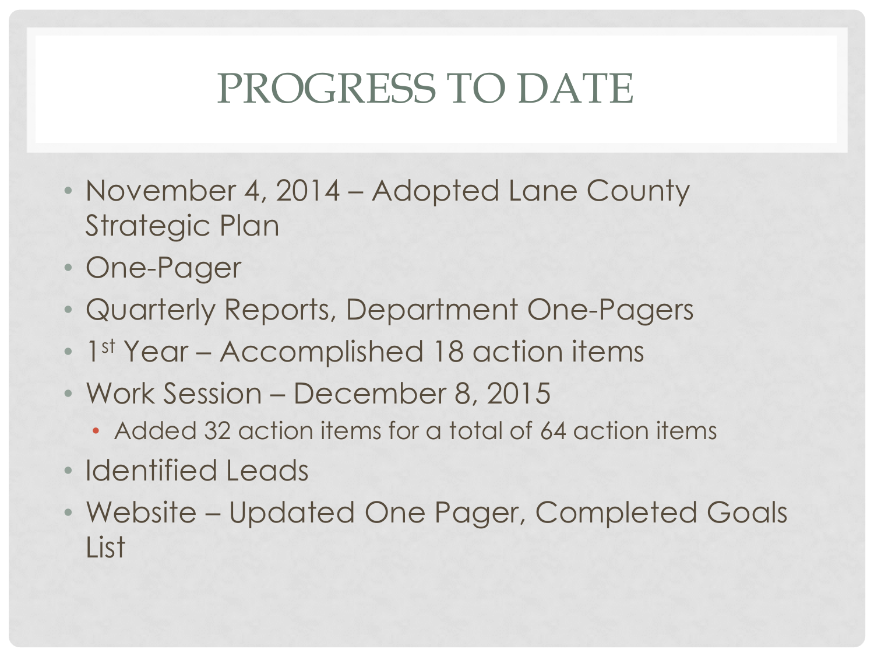# PROGRESS TO DATE

- November 4, 2014 Adopted Lane County Strategic Plan
- One-Pager
- Quarterly Reports, Department One-Pagers
- 1st Year Accomplished 18 action items
- Work Session December 8, 2015
	- Added 32 action items for a total of 64 action items
- Identified Leads
- Website Updated One Pager, Completed Goals List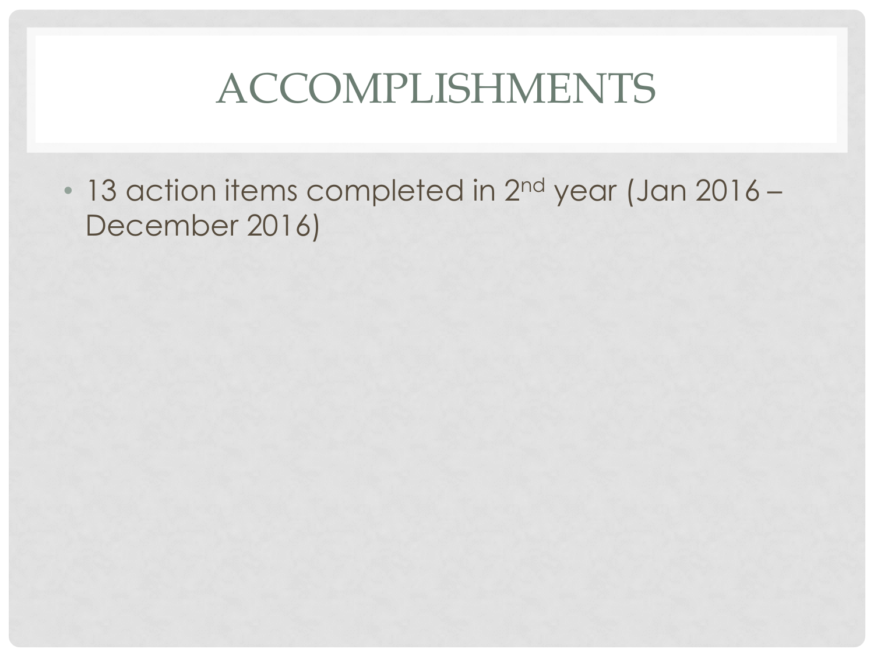## ACCOMPLISHMENTS

• 13 action items completed in 2<sup>nd</sup> year (Jan 2016 – December 2016)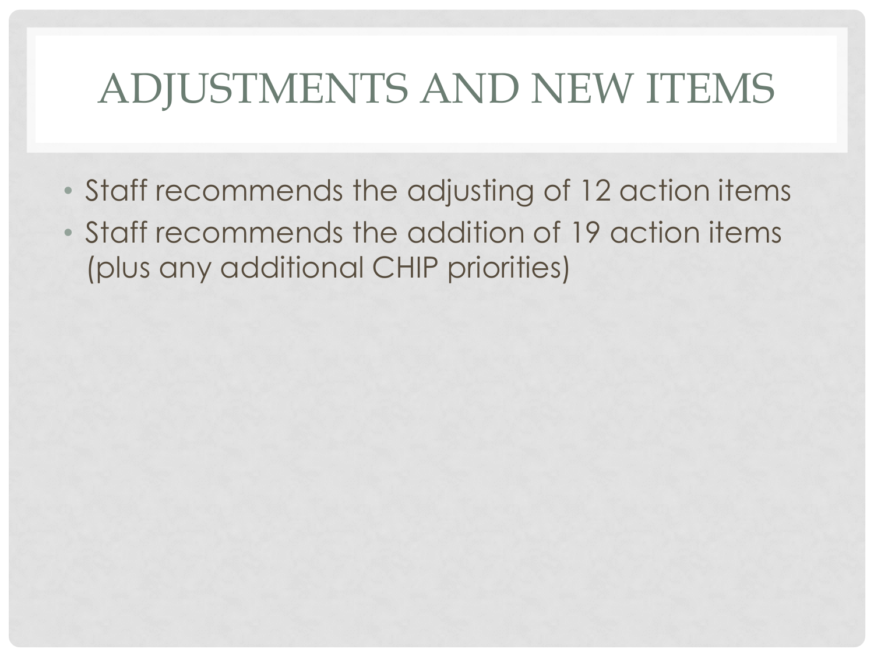## ADJUSTMENTS AND NEW ITEMS

- Staff recommends the adjusting of 12 action items
- Staff recommends the addition of 19 action items (plus any additional CHIP priorities)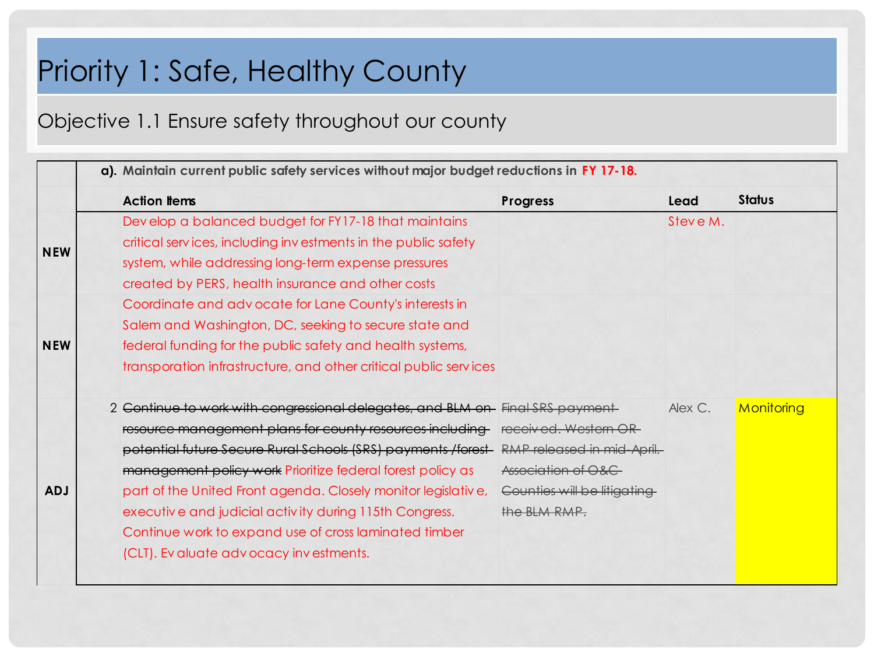#### Objective 1.1 Ensure safety throughout our county

|            | <b>Action Items</b>                                                                     | Progress                    | Lead     | <b>Status</b> |
|------------|-----------------------------------------------------------------------------------------|-----------------------------|----------|---------------|
|            | Develop a balanced budget for FY17-18 that maintains                                    |                             | Steve M. |               |
|            | critical services, including investments in the public safety                           |                             |          |               |
| <b>NEW</b> | system, while addressing long-term expense pressures                                    |                             |          |               |
|            | created by PERS, health insurance and other costs                                       |                             |          |               |
|            | Coordinate and advocate for Lane County's interests in                                  |                             |          |               |
|            | Salem and Washington, DC, seeking to secure state and                                   |                             |          |               |
| <b>NEW</b> | federal funding for the public safety and health systems,                               |                             |          |               |
|            | transporation infrastructure, and other critical public services                        |                             |          |               |
|            | 2 Continue to work with congressional delegates, and BLM on Final SRS payment           |                             | Alex C.  | Monitoring    |
|            | resource management plans for county resources including-                               | received. Western OR-       |          |               |
|            | potential future Secure Rural Schools (SRS) payments /forest RMP released in mid April. |                             |          |               |
|            | management policy work Prioritize federal forest policy as                              | Association of O&C          |          |               |
| <b>ADJ</b> | part of the United Front agenda. Closely monitor legislative,                           | Counties will be litigating |          |               |
|            | executive and judicial activity during 115th Congress.                                  | the BLM RMP.                |          |               |
|            | Continue work to expand use of cross laminated timber                                   |                             |          |               |
|            | (CLT). Evaluate advocacy investments.                                                   |                             |          |               |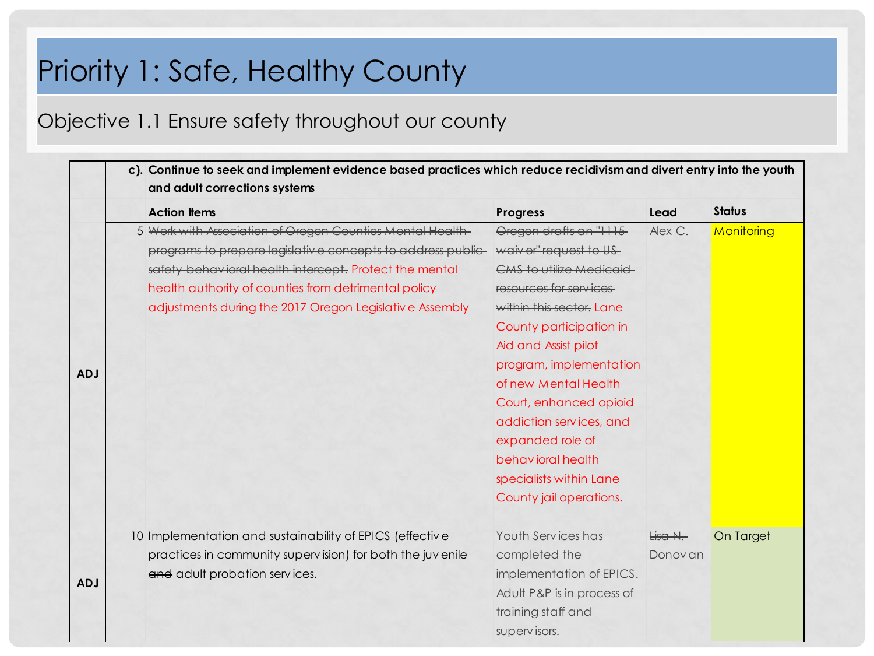#### Objective 1.1 Ensure safety throughout our county

|            | c). Continue to seek and implement evidence based practices which reduce recidivism and divert entry into the youth<br>and adult corrections systems |                                                                                                                                                                                                                                                                                                       |                                                                                                                                                                                                                                                                                                                                                                                                    |                     |               |
|------------|------------------------------------------------------------------------------------------------------------------------------------------------------|-------------------------------------------------------------------------------------------------------------------------------------------------------------------------------------------------------------------------------------------------------------------------------------------------------|----------------------------------------------------------------------------------------------------------------------------------------------------------------------------------------------------------------------------------------------------------------------------------------------------------------------------------------------------------------------------------------------------|---------------------|---------------|
|            | <b>Action Items</b>                                                                                                                                  |                                                                                                                                                                                                                                                                                                       | <b>Progress</b>                                                                                                                                                                                                                                                                                                                                                                                    | Lead                | <b>Status</b> |
| <b>ADJ</b> |                                                                                                                                                      | 5 Work with Association of Oregon Counties Mental Health-<br>programs to prepare legislative concepts to address public-<br>safety behavioral health intercept. Protect the mental<br>health authority of counties from detrimental policy<br>adjustments during the 2017 Oregon Legislative Assembly | Oregon drafts an "1115<br>waiver" request to US-<br><b>CMS to utilize Medicaid</b><br>resources for services<br>within this sector. Lane<br>County participation in<br>Aid and Assist pilot<br>program, implementation<br>of new Mental Health<br>Court, enhanced opioid<br>addiction services, and<br>expanded role of<br>behavioral health<br>specialists within Lane<br>County jail operations. | Alex C.             | Monitoring    |
| <b>ADJ</b> | and adult probation services.                                                                                                                        | 10 Implementation and sustainability of EPICS (effective<br>practices in community supervision) for both the juvenile-                                                                                                                                                                                | Youth Services has<br>completed the<br>implementation of EPICS.<br>Adult P&P is in process of<br>training staff and<br>supervisors.                                                                                                                                                                                                                                                                | Lisa N.<br>Donov an | On Target     |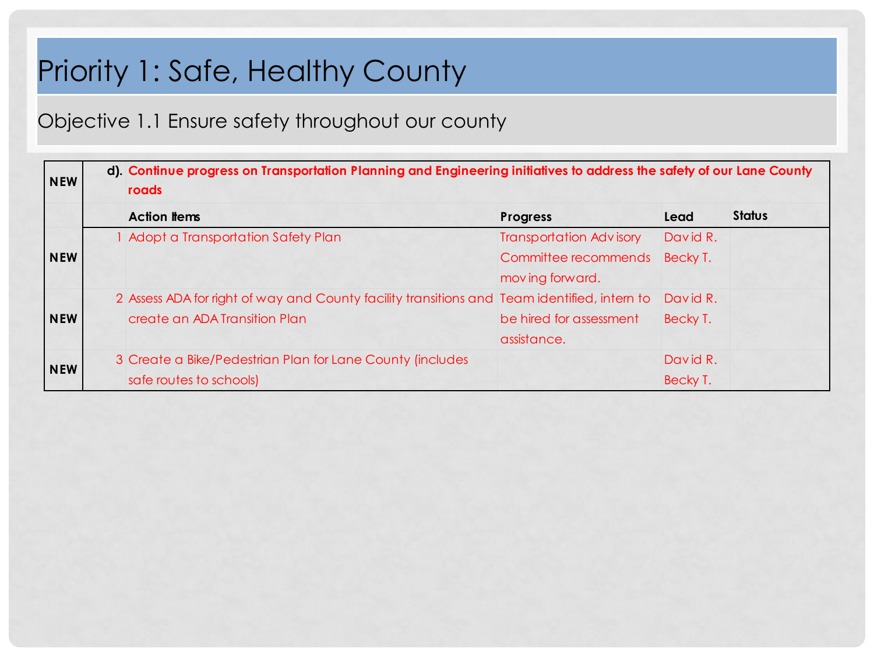Objective 1.1 Ensure safety throughout our county

| <b>NEW</b> | d). Continue progress on Transportation Planning and Engineering initiatives to address the safety of our Lane County<br>roads |                                |          |               |
|------------|--------------------------------------------------------------------------------------------------------------------------------|--------------------------------|----------|---------------|
|            | <b>Action Items</b>                                                                                                            | <b>Progress</b>                | Lead     | <b>Status</b> |
|            | Adopt a Transportation Safety Plan                                                                                             | <b>Transportation Advisory</b> | David R. |               |
| <b>NEW</b> |                                                                                                                                | Committee recommends           | Becky T. |               |
|            |                                                                                                                                | moving forward.                |          |               |
|            | 2 Assess ADA for right of way and County facility transitions and Team identified, intern to                                   |                                | David R. |               |
| <b>NEW</b> | create an ADA Transition Plan                                                                                                  | be hired for assessment        | Becky T. |               |
|            |                                                                                                                                | assistance.                    |          |               |
| <b>NEW</b> | 3 Create a Bike/Pedestrian Plan for Lane County (includes                                                                      |                                | David R. |               |
|            | safe routes to schools)                                                                                                        |                                | Becky T. |               |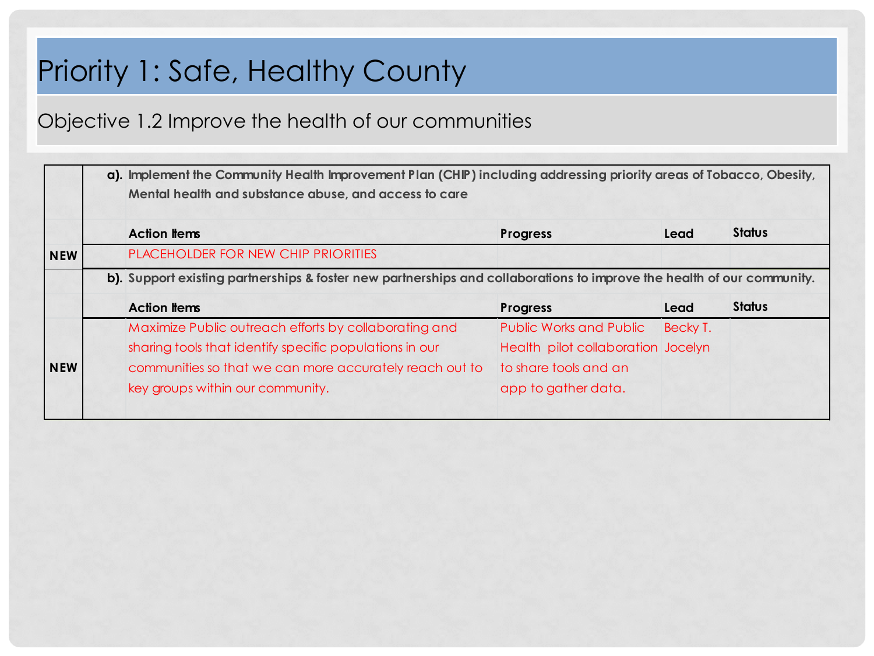#### Objective 1.2 Improve the health of our communities

|            | a). Implement the Community Health Improvement Plan (CHIP) including addressing priority areas of Tobacco, Obesity,<br>Mental health and substance abuse, and access to care |                                    |          |               |  |  |
|------------|------------------------------------------------------------------------------------------------------------------------------------------------------------------------------|------------------------------------|----------|---------------|--|--|
|            | <b>Action Items</b>                                                                                                                                                          | <b>Progress</b>                    | Lead     | <b>Status</b> |  |  |
| <b>NEW</b> | PLACEHOLDER FOR NEW CHIP PRIORITIES                                                                                                                                          |                                    |          |               |  |  |
|            | b). Support existing partnerships & foster new partnerships and collaborations to improve the health of our community.                                                       |                                    |          |               |  |  |
|            | <b>Action Items</b>                                                                                                                                                          | <b>Progress</b>                    | Lead     | <b>Status</b> |  |  |
|            | Maximize Public outreach efforts by collaborating and                                                                                                                        | <b>Public Works and Public</b>     | Becky T. |               |  |  |
|            | sharing tools that identify specific populations in our                                                                                                                      | Health pilot collaboration Jocelyn |          |               |  |  |
| <b>NEW</b> | communities so that we can more accurately reach out to                                                                                                                      | to share tools and an              |          |               |  |  |
|            | key groups within our community.                                                                                                                                             | app to gather data.                |          |               |  |  |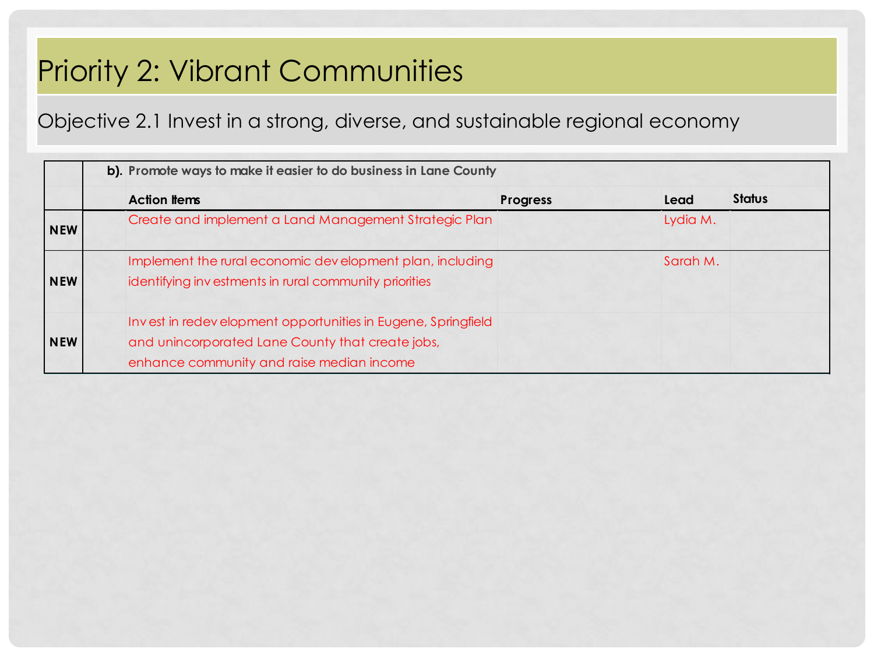## Priority 2: Vibrant Communities

Objective 2.1 Invest in a strong, diverse, and sustainable regional economy

|            | b). Promote ways to make it easier to do business in Lane County                                                                                              |                 |          |               |  |
|------------|---------------------------------------------------------------------------------------------------------------------------------------------------------------|-----------------|----------|---------------|--|
|            | <b>Action Items</b>                                                                                                                                           | <b>Progress</b> | Lead     | <b>Status</b> |  |
| <b>NEW</b> | Create and implement a Land Management Strategic Plan                                                                                                         |                 | Lydia M. |               |  |
| <b>NEW</b> | Implement the rural economic development plan, including<br>identifying investments in rural community priorities                                             |                 | Sarah M. |               |  |
| <b>NEW</b> | Invest in redevelopment opportunities in Eugene, Springfield<br>and unincorporated Lane County that create jobs,<br>enhance community and raise median income |                 |          |               |  |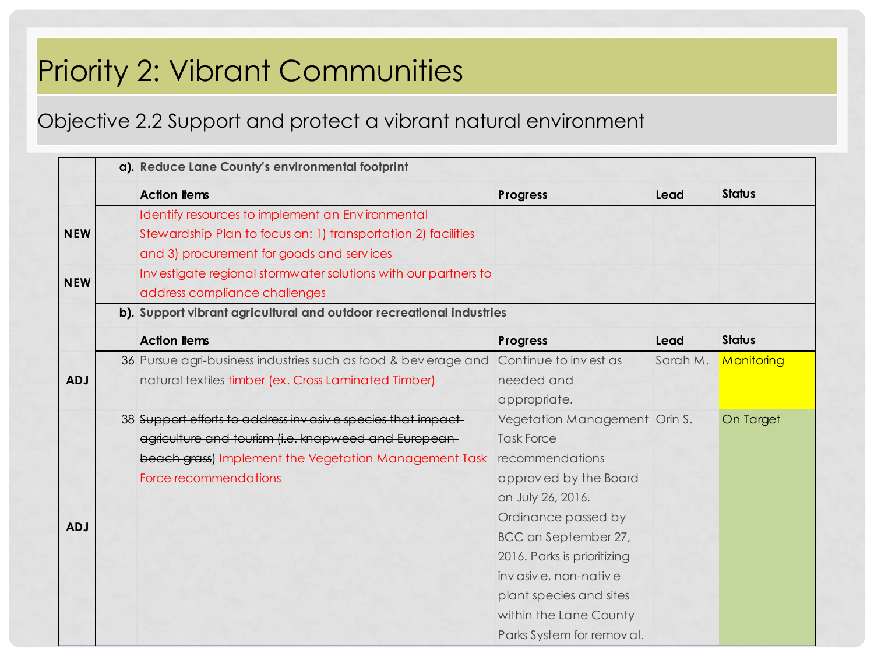### Priority 2: Vibrant Communities

#### Objective 2.2 Support and protect a vibrant natural environment

|            | a). Reduce Lane County's environmental footprint                     |                               |          |               |  |
|------------|----------------------------------------------------------------------|-------------------------------|----------|---------------|--|
|            | <b>Action Items</b>                                                  | <b>Progress</b>               | Lead     | <b>Status</b> |  |
|            | Identify resources to implement an Environmental                     |                               |          |               |  |
| <b>NEW</b> | Stewardship Plan to focus on: 1) transportation 2) facilities        |                               |          |               |  |
|            | and 3) procurement for goods and services                            |                               |          |               |  |
| <b>NEW</b> | Investigate regional stormwater solutions with our partners to       |                               |          |               |  |
|            | address compliance challenges                                        |                               |          |               |  |
|            | b). Support vibrant agricultural and outdoor recreational industries |                               |          |               |  |
|            | <b>Action Items</b>                                                  | <b>Progress</b>               | Lead     | <b>Status</b> |  |
|            | 36 Pursue agri-business industries such as food & beverage and       | Continue to invest as         | Sarah M. | Monitoring    |  |
| <b>ADJ</b> | natural textiles timber (ex. Cross Laminated Timber)                 | needed and                    |          |               |  |
|            |                                                                      | appropriate.                  |          |               |  |
|            | 38 Support efforts to address invasive species that impact-          | Vegetation Management Orin S. |          | On Target     |  |
|            | agriculture and tourism (i.e. knapweed and European-                 | <b>Task Force</b>             |          |               |  |
|            | beach grass) Implement the Vegetation Management Task                | recommendations               |          |               |  |
|            | Force recommendations                                                | approved by the Board         |          |               |  |
|            |                                                                      | on July 26, 2016.             |          |               |  |
|            |                                                                      | Ordinance passed by           |          |               |  |
| <b>ADJ</b> |                                                                      | BCC on September 27,          |          |               |  |
|            |                                                                      | 2016. Parks is prioritizing   |          |               |  |
|            |                                                                      | invasive, non-native          |          |               |  |
|            |                                                                      | plant species and sites       |          |               |  |
|            |                                                                      | within the Lane County        |          |               |  |
|            |                                                                      | Parks System for removal.     |          |               |  |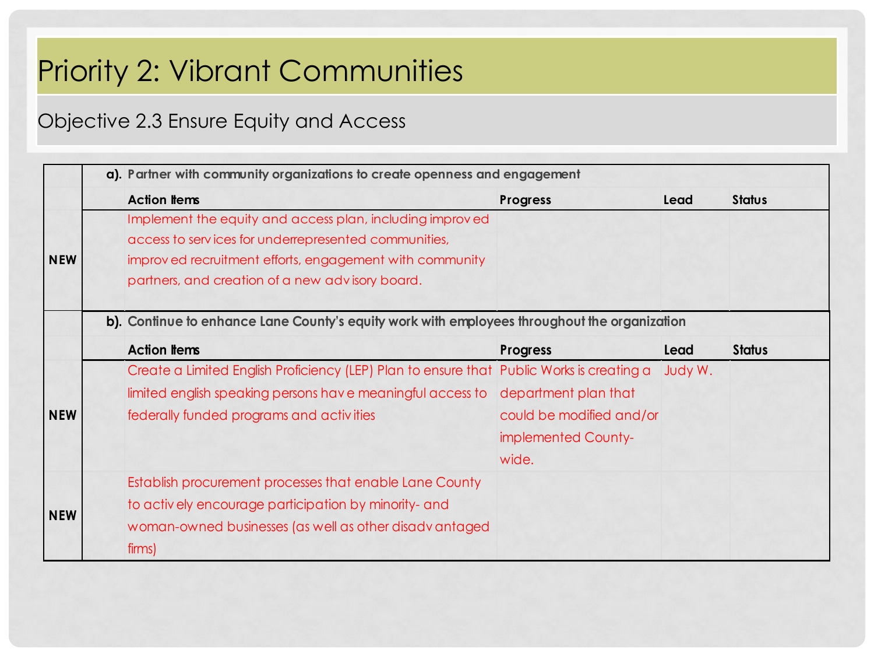## Priority 2: Vibrant Communities

#### Objective 2.3 Ensure Equity and Access

|            | a). Partner with community organizations to create openness and engagement                   |                          |         |               |
|------------|----------------------------------------------------------------------------------------------|--------------------------|---------|---------------|
|            | <b>Action Items</b>                                                                          | Progress                 | Lead    | <b>Status</b> |
|            | Implement the equity and access plan, including improved                                     |                          |         |               |
|            | access to services for underrepresented communities,                                         |                          |         |               |
| <b>NEW</b> | improved recruitment efforts, engagement with community                                      |                          |         |               |
|            | partners, and creation of a new advisory board.                                              |                          |         |               |
|            | b). Continue to enhance Lane County's equity work with employees throughout the organization |                          |         |               |
|            | <b>Action Items</b>                                                                          | <b>Progress</b>          | Lead    | <b>Status</b> |
|            | Create a Limited English Proficiency (LEP) Plan to ensure that Public Works is creating a    |                          | Judy W. |               |
|            | limited english speaking persons have meaningful access to department plan that              |                          |         |               |
| <b>NEW</b> | federally funded programs and activities                                                     | could be modified and/or |         |               |
|            |                                                                                              | implemented County-      |         |               |
|            |                                                                                              | wide.                    |         |               |
|            | Establish procurement processes that enable Lane County                                      |                          |         |               |
|            | to actively encourage participation by minority- and                                         |                          |         |               |
| <b>NEW</b> | woman-owned businesses (as well as other disadvantaged                                       |                          |         |               |
|            | firms)                                                                                       |                          |         |               |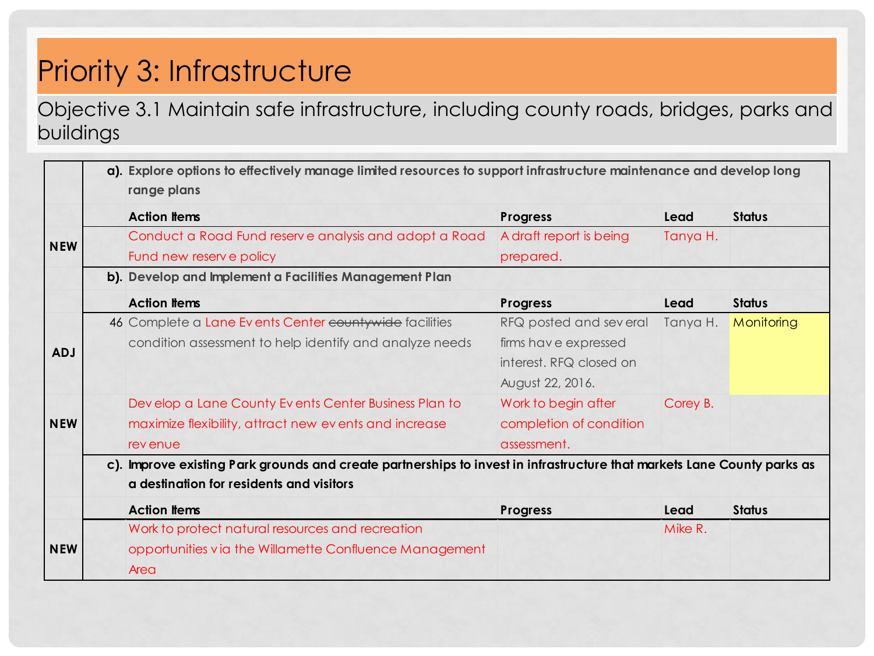## Priority 3: Infrastructure

Objective 3.1 Maintain safe infrastructure, including county roads, bridges, parks and buildings

|            | a). Explore options to effectively manage limited resources to support infrastructure maintenance and develop long<br>range plans                                   |                                                                                               |          |               |
|------------|---------------------------------------------------------------------------------------------------------------------------------------------------------------------|-----------------------------------------------------------------------------------------------|----------|---------------|
|            | <b>Action Items</b>                                                                                                                                                 | <b>Progress</b>                                                                               | Lead     | <b>Status</b> |
| <b>NEW</b> | Conduct a Road Fund reserve analysis and adopt a Road                                                                                                               | A draft report is being                                                                       | Tanya H. |               |
|            | Fund new reserve policy<br>b). Develop and Implement a Facilities Management Plan                                                                                   | prepared.                                                                                     |          |               |
|            | <b>Action Items</b>                                                                                                                                                 | <b>Progress</b>                                                                               | Lead     | <b>Status</b> |
| <b>ADJ</b> | 46 Complete a Lane Events Center countywide facilities<br>condition assessment to help identify and analyze needs                                                   | RFQ posted and several<br>firms have expressed<br>interest. RFQ closed on<br>August 22, 2016. | Tanya H. | Monitoring    |
| <b>NEW</b> | Develop a Lane County Events Center Business Plan to<br>maximize flexibility, attract new events and increase<br>rev enue                                           | Work to begin after<br>completion of condition<br>assessment.                                 | Corey B. |               |
|            | c). Improve existing Park grounds and create partnerships to invest in infrastructure that markets Lane County parks as<br>a destination for residents and visitors |                                                                                               |          |               |
|            | <b>Action Items</b>                                                                                                                                                 | <b>Progress</b>                                                                               | Lead     | <b>Status</b> |
| <b>NEW</b> | Work to protect natural resources and recreation<br>opportunities via the Willamette Confluence Management<br>Area                                                  |                                                                                               | Mike R.  |               |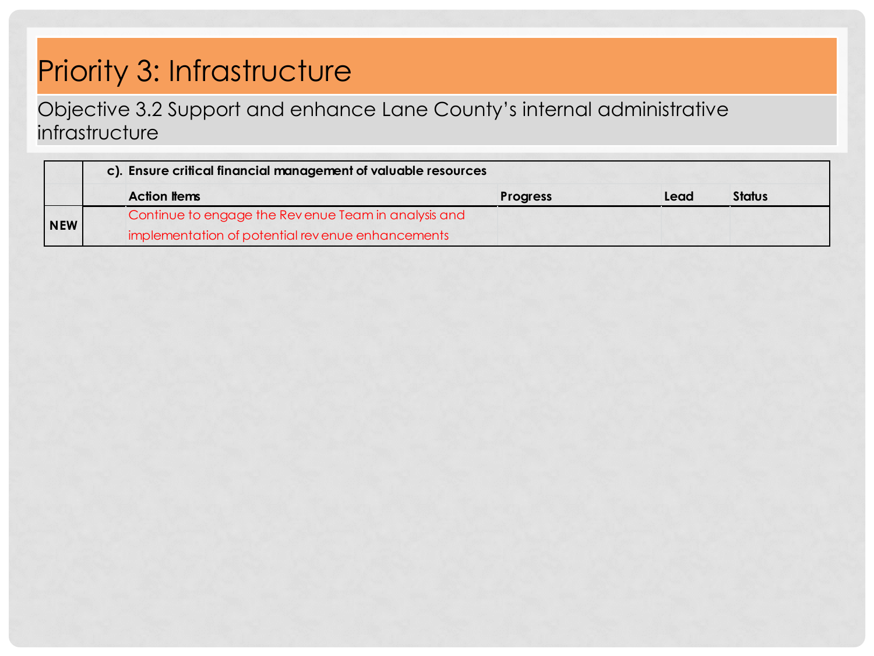### Priority 3: Infrastructure

Objective 3.2 Support and enhance Lane County's internal administrative infrastructure

|            | c). Ensure critical financial management of valuable resources |                 |      |               |
|------------|----------------------------------------------------------------|-----------------|------|---------------|
|            | <b>Action Items</b>                                            | <b>Progress</b> | Lead | <b>Status</b> |
|            | Continue to engage the Revenue Team in analysis and            |                 |      |               |
| <b>NEW</b> | implementation of potential revenue enhancements               |                 |      |               |